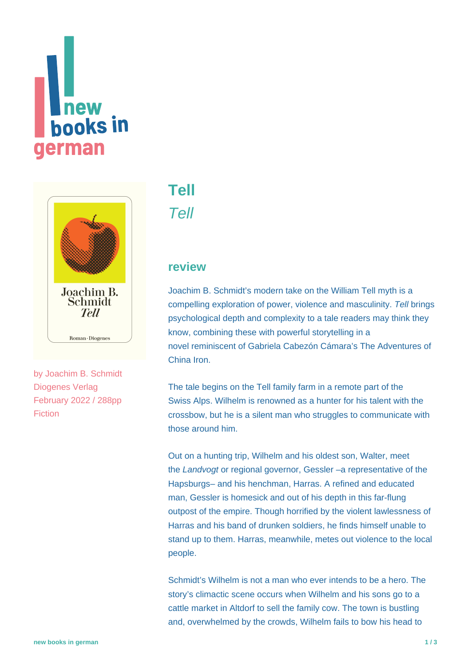# **Thew**<br>**books** in **german**



by [Joachim B. Schmidt](https://www.new-books-in-german.com/recommendations/?searchInput=Joachim%20B.%20Schmidt) Diogenes Verlag February 2022 / 288pp Fiction

## **[Tell](https://www.new-books-in-german.com/recommendations/tell/)** Tell

#### **review**

Joachim B. Schmidt's modern take on the William Tell myth is a compelling exploration of power, violence and masculinity. Tell brings psychological depth and complexity to a tale readers may think they know, combining these with powerful storytelling in a novel reminiscent of Gabriela Cabezón Cámara's The Adventures of China Iron.

The tale begins on the Tell family farm in a remote part of the Swiss Alps. Wilhelm is renowned as a hunter for his talent with the crossbow, but he is a silent man who struggles to communicate with those around him.

Out on a hunting trip, Wilhelm and his oldest son, Walter, meet the Landvogt or regional governor, Gessler –a representative of the Hapsburgs– and his henchman, Harras. A refined and educated man, Gessler is homesick and out of his depth in this far-flung outpost of the empire. Though horrified by the violent lawlessness of Harras and his band of drunken soldiers, he finds himself unable to stand up to them. Harras, meanwhile, metes out violence to the local people.

Schmidt's Wilhelm is not a man who ever intends to be a hero. The story's climactic scene occurs when Wilhelm and his sons go to a cattle market in Altdorf to sell the family cow. The town is bustling and, overwhelmed by the crowds, Wilhelm fails to bow his head to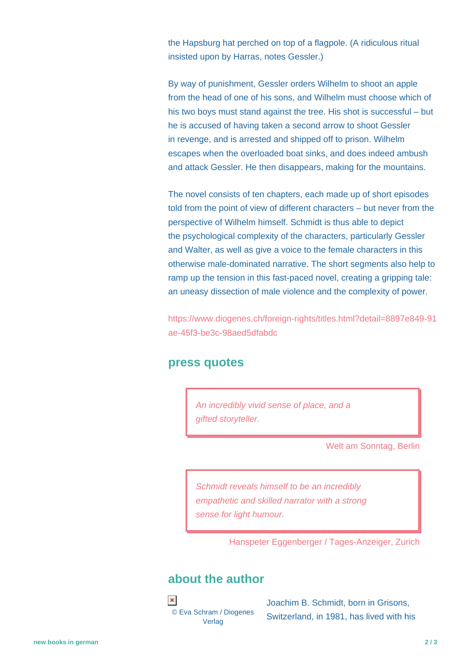the Hapsburg hat perched on top of a flagpole. (A ridiculous ritual insisted upon by Harras, notes Gessler.)

By way of punishment, Gessler orders Wilhelm to shoot an apple from the head of one of his sons, and Wilhelm must choose which of his two boys must stand against the tree. His shot is successful – but he is accused of having taken a second arrow to shoot Gessler in revenge, and is arrested and shipped off to prison. Wilhelm escapes when the overloaded boat sinks, and does indeed ambush and attack Gessler. He then disappears, making for the mountains.

The novel consists of ten chapters, each made up of short episodes told from the point of view of different characters – but never from the perspective of Wilhelm himself. Schmidt is thus able to depict the psychological complexity of the characters, particularly Gessler and Walter, as well as give a voice to the female characters in this otherwise male-dominated narrative. The short segments also help to ramp up the tension in this fast-paced novel, creating a gripping tale: an uneasy dissection of male violence and the complexity of power.

[https://www.diogenes.ch/foreign-rights/titles.html?detail=8897e849-91](https://www.diogenes.ch/foreign-rights/titles.html?detail=8897e849-91ae-45f3-be3c-98aed5dfabdc) [ae-45f3-be3c-98aed5dfabdc](https://www.diogenes.ch/foreign-rights/titles.html?detail=8897e849-91ae-45f3-be3c-98aed5dfabdc)

#### **press quotes**

An incredibly vivid sense of place, and a gifted storyteller.

Welt am Sonntag, Berlin

Schmidt reveals himself to be an incredibly empathetic and skilled narrator with a strong sense for light humour.

Hanspeter Eggenberger / Tages-Anzeiger, Zurich

#### **about the author**

 $\pmb{\times}$ © Eva Schram / Diogenes Verlag

Joachim B. Schmidt, born in Grisons, Switzerland, in 1981, has lived with his